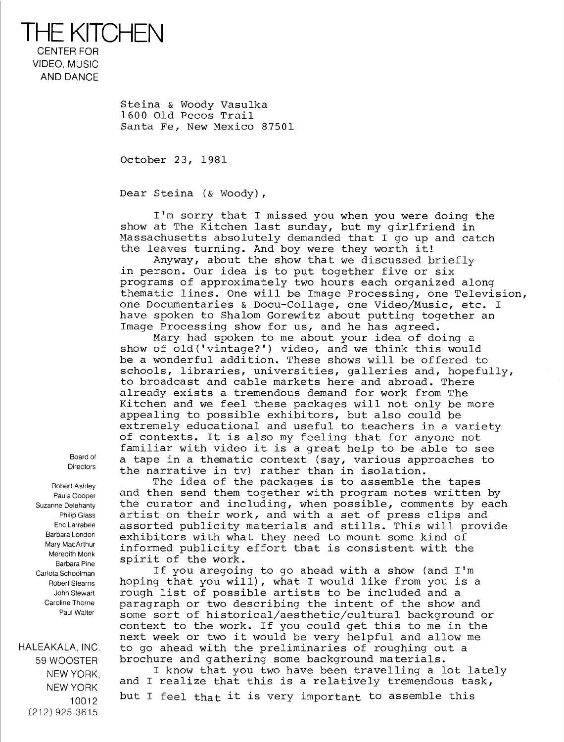THE KITCHEN CENTER FOR VIDEO, MUSIC AND DANCE

> Steina & Woody Vasulka 1600 Old Pecos Trail Santa Fe, New Mexico 87501

October 23, 1981

Dear Steina (& Woody),

I'm sorry that <sup>I</sup> missed you when you were doing the show at The Kitchen last sunday, but my girlfriend in Massachusetts absolutely demanded that <sup>I</sup> go up and catch the leaves turning. And boy were they worth it!

Anyway, about the show that we discussed briefly in person. Our idea is to put together five or six programs of approximately two hours each organized along thematic lines. One will be Image Processing, one Television, one Documentaries & Docu-Collage, one Video/Music, etc. I have spoken to Shalom Gorewitz about putting together an Image Processing show for us, and he has agreed.

Mary had spoken to me about your idea of doing a show of old('vintage?') video, and we think this would be a wonderful addition. These shows will be offered to schools, libraries, universities, galleries and, hopefully, to broadcast and cable markets here and abroad. There already exists a tremendous demand for work from The Kitchen and we feel these packages will not only be more appealing to possible exhibitors, but also could be extremely educational and useful to teachers in a variety of contexts . It is also my feeling that for anyone not familiar with video it is a great help to be able to see a tape in a thematic context (say, various approaches to the narrative in tv) rather than in isolation.

The idea of the packages is to assemble the tapes and then send them together with program notes written by the curator and including, when possible, comments by each artist on their work, and with a set of press clips and assorted publicity materials and stills. This will provide exhibitors with what they need to mount some kind of informed publicity effort that is consistent with the spirit of the work .

If you aregoing to go ahead with a show (and I'm hoping that you will), what <sup>I</sup> would like from you is a rough list of possible artists to be included and a paragraph or two describing the intent of the show and some sort of historical/aesthetic/cultural background or context to the work. If you could get this to me in the next week or two it would be very helpful and allow me to go ahead with the preliminaries of roughing out a brochure and gathering some background materials .

<sup>I</sup> know that you two have been travelling a lot lately and <sup>I</sup> realize that this is a relatively tremendous task, but I feel that it is very important to assemble this

Board of **Directors** 

Robert Ashley Paula Cooper Suzanne Delehanty Philip Glass Eric Larrabee Barbara London Mary MacArthur Meredith Monk Barbara Pine Carlota Schoolman Robert Stearns John Stewart Caroline Thorne Paul Walter

HALEAKALA, INC 59 WOOSTER NEW YORK, NEW YORK 10012 (212) 925-3615